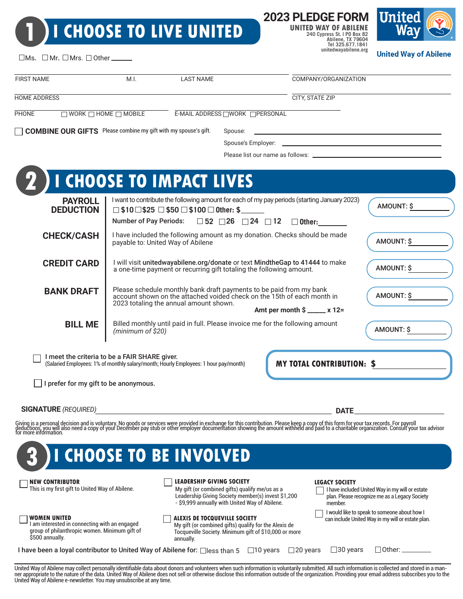# **1 I CHOOSE TO LIVE UNITED**

**2023 PLEDGE FORM**

**UNITED WAY OF ABILENE 240 Cypress St. | PO Box 82 Abilene, TX 79604 Tel 325.677.1841 unitedwayabilene.org**



**United Way of Abilene** 

| <b>FIRST NAME</b>                                                      | M.I.                                          | <b>LAST NAME</b>                                                                                                                                                                         |         | COMPANY/ORGANIZATION                                                                                                                                                                                                             |            |
|------------------------------------------------------------------------|-----------------------------------------------|------------------------------------------------------------------------------------------------------------------------------------------------------------------------------------------|---------|----------------------------------------------------------------------------------------------------------------------------------------------------------------------------------------------------------------------------------|------------|
| <b>HOME ADDRESS</b>                                                    |                                               |                                                                                                                                                                                          |         | <b>CITY, STATE ZIP</b>                                                                                                                                                                                                           |            |
| <b>PHONE</b>                                                           | $\Box$ WORK $\Box$ HOME $\Box$ MOBILE         | E-MAIL ADDRESS WORK PERSONAL                                                                                                                                                             |         |                                                                                                                                                                                                                                  |            |
| <b>COMBINE OUR GIFTS</b> Please combine my gift with my spouse's gift. |                                               |                                                                                                                                                                                          | Spouse: |                                                                                                                                                                                                                                  |            |
|                                                                        |                                               |                                                                                                                                                                                          |         |                                                                                                                                                                                                                                  |            |
|                                                                        |                                               |                                                                                                                                                                                          |         |                                                                                                                                                                                                                                  |            |
|                                                                        |                                               | <b>I CHOOSE TO IMPACT LIVES</b>                                                                                                                                                          |         |                                                                                                                                                                                                                                  |            |
|                                                                        |                                               |                                                                                                                                                                                          |         |                                                                                                                                                                                                                                  |            |
| <b>PAYROLL</b><br><b>DEDUCTION</b>                                     |                                               | $\Box$ \$10 $\Box$ \$25 $\Box$ \$50 $\Box$ \$100 $\Box$ Other: \$                                                                                                                        |         | I want to contribute the following amount for each of my pay periods (starting January 2023)                                                                                                                                     | AMOUNT: \$ |
|                                                                        |                                               | Number of Pay Periods: $\Box$ 52 $\Box$ 26 $\Box$ 24 $\Box$ 12                                                                                                                           |         | $\square$ Other:                                                                                                                                                                                                                 |            |
| <b>CHECK/CASH</b>                                                      |                                               | I have included the following amount as my donation. Checks should be made<br>payable to: United Way of Abilene                                                                          |         |                                                                                                                                                                                                                                  |            |
| <b>CREDIT CARD</b>                                                     |                                               | I will visit unitedwayabilene.org/donate or text MindtheGap to 41444 to make<br>a one-time payment or recurring gift totaling the following amount.                                      |         |                                                                                                                                                                                                                                  |            |
| <b>BANK DRAFT</b>                                                      |                                               | Please schedule monthly bank draft payments to be paid from my bank<br>account shown on the attached voided check on the 15th of each month in<br>2023 totaling the annual amount shown. |         |                                                                                                                                                                                                                                  | AMOUNT: \$ |
|                                                                        |                                               |                                                                                                                                                                                          |         | Amt per month $\sin 3x = x$ 12=                                                                                                                                                                                                  |            |
| <b>BILL ME</b>                                                         | (minimum of \$20)                             | Billed monthly until paid in full. Please invoice me for the following amount                                                                                                            |         |                                                                                                                                                                                                                                  | AMOUNT: \$ |
|                                                                        | I meet the criteria to be a FAIR SHARE giver. | (Salaried Employees: 1% of monthly salary/month; Hourly Employees: 1 hour pay/month)                                                                                                     |         | <b>MY TOTAL CONTRIBUTION: \$</b>                                                                                                                                                                                                 |            |
|                                                                        | I prefer for my gift to be anonymous.         |                                                                                                                                                                                          |         |                                                                                                                                                                                                                                  |            |
|                                                                        |                                               |                                                                                                                                                                                          |         |                                                                                                                                                                                                                                  |            |
| <b>SIGNATURE</b> (REQUIRED)                                            |                                               |                                                                                                                                                                                          |         | <b>DATE</b>                                                                                                                                                                                                                      |            |
|                                                                        |                                               |                                                                                                                                                                                          |         | Giving is a personal decision and is voluntary. No goods or services were provided in exchange for this contribution. Please keep a copy of this form for your tax records. For payroll<br>deductions, you will also need a copy |            |
|                                                                        |                                               |                                                                                                                                                                                          |         |                                                                                                                                                                                                                                  |            |

#### **NEW CONTRIBUTOR**

This is my first gift to United Way of Abilene.

#### **LEADERSHIP GIVING SOCIETY**

My gift (or combined gifts) qualify me/us as a Leadership Giving Society member(s) invest \$1,200

- \$9,999 annually with United Way of Abilene.

#### **WOMEN UNITED**

I am interested in connecting with an engaged group of philanthropic women. Minimum gift of \$500 annually.

#### **ALEXIS DE TOCQUEVILLE SOCIETY**

My gift (or combined gifts) qualify for the Alexis de Tocqueville Society. Minimum gift of \$10,000 or more annually.

#### **LEGACY SOCIETY**

| I have included United Way in my will or estate<br>plan. Please recognize me as a Legacy Society |
|--------------------------------------------------------------------------------------------------|
| member.                                                                                          |
| I would like to speak to someone about how I                                                     |

can include United Way in my will or estate plan.

 $\Box$  Other:  $\Box$ 

| I have been a loyal contributor to United Way of Abilene for: □less than 5 □ 10 years □ 20 years □ 30 years |  |  |  |
|-------------------------------------------------------------------------------------------------------------|--|--|--|
|-------------------------------------------------------------------------------------------------------------|--|--|--|

United Way of Abilene may collect personally identifiable data about donors and volunteers when such information is voluntarily submitted. All such information is collected and stored in a manner appropriate to the nature of the data. United Way of Abilene does not sell or otherwise disclose this information outside of the organization. Providing your email address subscribes you to the United Way of Abilene e-newsletter. You may unsubscribe at any time.